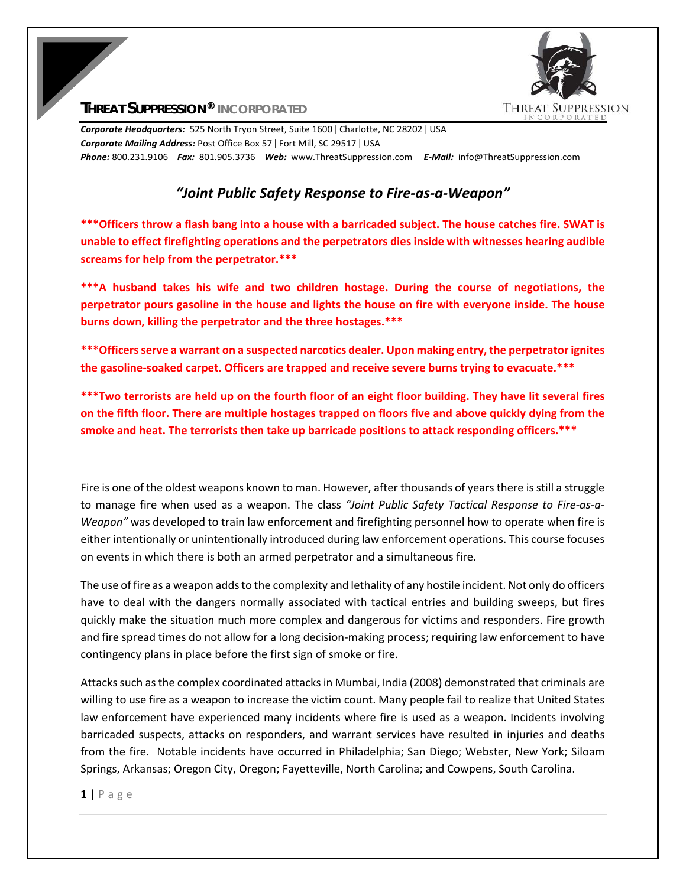

**THREAT SUPPRESSION® INCORPORATED**

*Corporate Headquarters:* 525 North Tryon Street, Suite 1600 ǀ Charlotte, NC 28202 ǀ USA *Corporate Mailing Address:* Post Office Box 57 ǀ Fort Mill, SC 29517 ǀ USA *Phone:* 800.231.9106  *Fax:* 801.905.3736 *Web:* www.ThreatSuppression.com *E‐Mail:*  info@ThreatSuppression.com

## *"Joint Public Safety Response to Fire‐as‐a‐Weapon"*

**\*\*\*Officers throw a flash bang into a house with a barricaded subject. The house catches fire. SWAT is unable to effect firefighting operations and the perpetrators dies inside with witnesses hearing audible screams for help from the perpetrator.\*\*\*** 

**\*\*\*A husband takes his wife and two children hostage. During the course of negotiations, the perpetrator pours gasoline in the house and lights the house on fire with everyone inside. The house burns down, killing the perpetrator and the three hostages.\*\*\*** 

**\*\*\*Officers serve a warrant on a suspected narcotics dealer. Upon making entry, the perpetrator ignites the gasoline‐soaked carpet. Officers are trapped and receive severe burns trying to evacuate.\*\*\*** 

**\*\*\*Two terrorists are held up on the fourth floor of an eight floor building. They have lit several fires on the fifth floor. There are multiple hostages trapped on floors five and above quickly dying from the smoke and heat. The terrorists then take up barricade positions to attack responding officers.\*\*\*** 

Fire is one of the oldest weapons known to man. However, after thousands of years there is still a struggle to manage fire when used as a weapon. The class *"Joint Public Safety Tactical Response to Fire‐as‐a‐ Weapon"* was developed to train law enforcement and firefighting personnel how to operate when fire is either intentionally or unintentionally introduced during law enforcement operations. This course focuses on events in which there is both an armed perpetrator and a simultaneous fire.

The use of fire as a weapon adds to the complexity and lethality of any hostile incident. Not only do officers have to deal with the dangers normally associated with tactical entries and building sweeps, but fires quickly make the situation much more complex and dangerous for victims and responders. Fire growth and fire spread times do not allow for a long decision-making process; requiring law enforcement to have contingency plans in place before the first sign of smoke or fire.

Attacks such as the complex coordinated attacks in Mumbai, India (2008) demonstrated that criminals are willing to use fire as a weapon to increase the victim count. Many people fail to realize that United States law enforcement have experienced many incidents where fire is used as a weapon. Incidents involving barricaded suspects, attacks on responders, and warrant services have resulted in injuries and deaths from the fire. Notable incidents have occurred in Philadelphia; San Diego; Webster, New York; Siloam Springs, Arkansas; Oregon City, Oregon; Fayetteville, North Carolina; and Cowpens, South Carolina.

**1 |** Page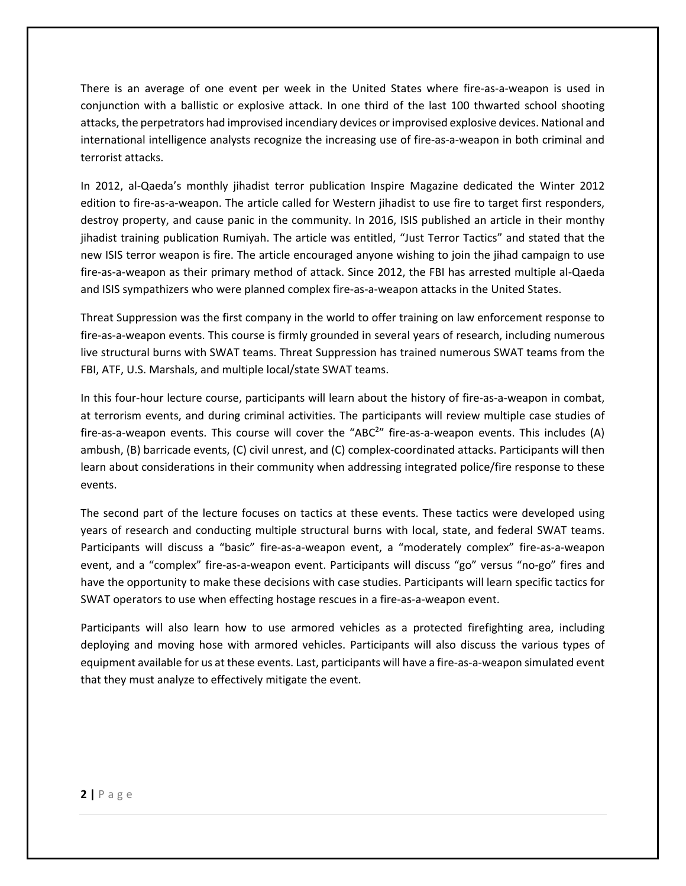There is an average of one event per week in the United States where fire-as-a-weapon is used in conjunction with a ballistic or explosive attack. In one third of the last 100 thwarted school shooting attacks, the perpetrators had improvised incendiary devices or improvised explosive devices. National and international intelligence analysts recognize the increasing use of fire‐as‐a‐weapon in both criminal and terrorist attacks.

In 2012, al‐Qaeda's monthly jihadist terror publication Inspire Magazine dedicated the Winter 2012 edition to fire-as-a-weapon. The article called for Western jihadist to use fire to target first responders, destroy property, and cause panic in the community. In 2016, ISIS published an article in their monthy jihadist training publication Rumiyah. The article was entitled, "Just Terror Tactics" and stated that the new ISIS terror weapon is fire. The article encouraged anyone wishing to join the jihad campaign to use fire‐as‐a‐weapon as their primary method of attack. Since 2012, the FBI has arrested multiple al‐Qaeda and ISIS sympathizers who were planned complex fire‐as‐a‐weapon attacks in the United States.

Threat Suppression was the first company in the world to offer training on law enforcement response to fire‐as‐a‐weapon events. This course is firmly grounded in several years of research, including numerous live structural burns with SWAT teams. Threat Suppression has trained numerous SWAT teams from the FBI, ATF, U.S. Marshals, and multiple local/state SWAT teams.

In this four-hour lecture course, participants will learn about the history of fire-as-a-weapon in combat, at terrorism events, and during criminal activities. The participants will review multiple case studies of fire-as-a-weapon events. This course will cover the "ABC<sup>2</sup>" fire-as-a-weapon events. This includes (A) ambush, (B) barricade events, (C) civil unrest, and (C) complex‐coordinated attacks. Participants will then learn about considerations in their community when addressing integrated police/fire response to these events.

The second part of the lecture focuses on tactics at these events. These tactics were developed using years of research and conducting multiple structural burns with local, state, and federal SWAT teams. Participants will discuss a "basic" fire‐as‐a‐weapon event, a "moderately complex" fire‐as‐a‐weapon event, and a "complex" fire-as-a-weapon event. Participants will discuss "go" versus "no-go" fires and have the opportunity to make these decisions with case studies. Participants will learn specific tactics for SWAT operators to use when effecting hostage rescues in a fire‐as‐a‐weapon event.

Participants will also learn how to use armored vehicles as a protected firefighting area, including deploying and moving hose with armored vehicles. Participants will also discuss the various types of equipment available for us at these events. Last, participants will have a fire‐as‐a‐weapon simulated event that they must analyze to effectively mitigate the event.